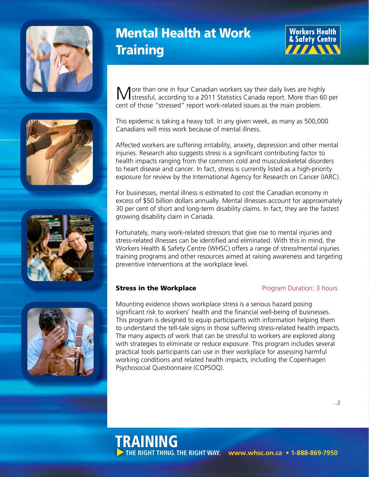

Ī







# Mental Health at Work **Training**



More than one in four Canadian workers say their daily lives are highly stressful, according to a 2011 Statistics Canada report. More than 60 per cent of those "stressed" report work-related issues as the main problem.

This epidemic is taking a heavy toll. In any given week, as many as 500,000 Canadians will miss work because of mental illness.

Affected workers are suffering irritability, anxiety, depression and other mental injuries. Research also suggests stress is a significant contributing factor to health impacts ranging from the common cold and musculoskeletal disorders to heart disease and cancer. In fact, stress is currently listed as a high-priority exposure for review by the International Agency for Research on Cancer (IARC).

For businesses, mental illness is estimated to cost the Canadian economy in excess of \$50 billion dollars annually. Mental illnesses account for approximately 30 per cent of short and long-term disability claims. In fact, they are the fastest growing disability claim in Canada.

Fortunately, many work-related stressors that give rise to mental injuries and stress-related illnesses can be identified and eliminated. With this in mind, the Workers Health & Safety Centre (WHSC) offers a range of stress/mental injuries training programs and other resources aimed at raising awareness and targeting preventive interventions at the workplace level.

### **Stress in the Workplace Program Duration: 3 hours**

TRAINING

**THE RIGHT THING. THE RIGHT WAY.**

 **www.whsc.on.ca • 1-888-869-7950**

Mounting evidence shows workplace stress is a serious hazard posing significant risk to workers' health and the financial well-being of businesses. This program is designed to equip participants with information helping them to understand the tell-tale signs in those suffering stress-related health impacts. The many aspects of work that can be stressful to workers are explored along with strategies to eliminate or reduce exposure. This program includes several practical tools participants can use in their workplace for assessing harmful working conditions and related health impacts, including the Copenhagen Psychosocial Questionnaire (COPSOQ).